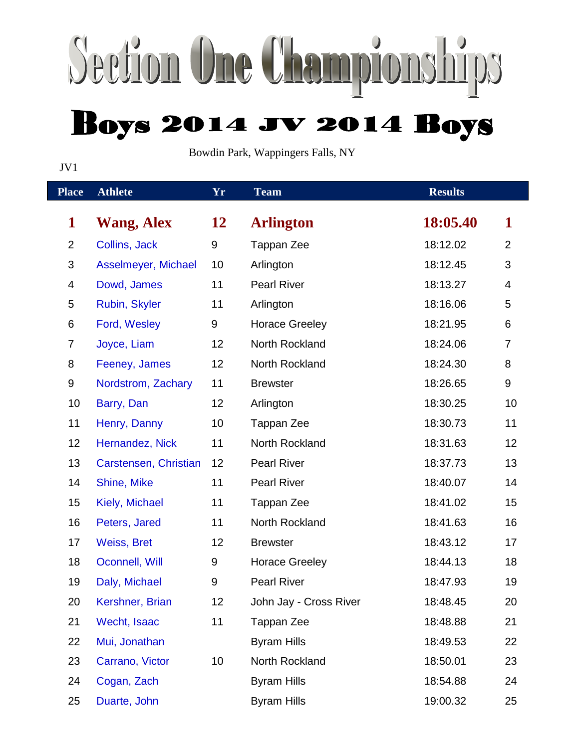## Section One Championships **Boys 2014 JV 2014 Boys**

Bowdin Park, Wappingers Falls, NY

JV1

| <b>Place</b>   | <b>Athlete</b>        | Yr              | <b>Team</b>            | <b>Results</b> |                |
|----------------|-----------------------|-----------------|------------------------|----------------|----------------|
| $\mathbf 1$    | <b>Wang, Alex</b>     | 12              | <b>Arlington</b>       | 18:05.40       | $\mathbf 1$    |
| $\overline{2}$ | Collins, Jack         | 9               | Tappan Zee             | 18:12.02       | $\overline{2}$ |
| $\mathfrak{S}$ | Asselmeyer, Michael   | 10              | Arlington              | 18:12.45       | 3              |
| 4              | Dowd, James           | 11              | <b>Pearl River</b>     | 18:13.27       | 4              |
| 5              | Rubin, Skyler         | 11              | Arlington              | 18:16.06       | 5              |
| 6              | Ford, Wesley          | 9               | <b>Horace Greeley</b>  | 18:21.95       | 6              |
| $\overline{7}$ | Joyce, Liam           | 12              | North Rockland         | 18:24.06       | 7              |
| 8              | Feeney, James         | 12              | North Rockland         | 18:24.30       | 8              |
| 9              | Nordstrom, Zachary    | 11              | <b>Brewster</b>        | 18:26.65       | 9              |
| 10             | Barry, Dan            | 12              | Arlington              | 18:30.25       | 10             |
| 11             | Henry, Danny          | 10              | Tappan Zee             | 18:30.73       | 11             |
| 12             | Hernandez, Nick       | 11              | North Rockland         | 18:31.63       | 12             |
| 13             | Carstensen, Christian | 12              | <b>Pearl River</b>     | 18:37.73       | 13             |
| 14             | Shine, Mike           | 11              | <b>Pearl River</b>     | 18:40.07       | 14             |
| 15             | Kiely, Michael        | 11              | Tappan Zee             | 18:41.02       | 15             |
| 16             | Peters, Jared         | 11              | North Rockland         | 18:41.63       | 16             |
| 17             | <b>Weiss, Bret</b>    | 12              | <b>Brewster</b>        | 18:43.12       | 17             |
| 18             | Oconnell, Will        | 9               | <b>Horace Greeley</b>  | 18:44.13       | 18             |
| 19             | Daly, Michael         | 9               | <b>Pearl River</b>     | 18:47.93       | 19             |
| 20             | Kershner, Brian       | 12              | John Jay - Cross River | 18:48.45       | 20             |
| 21             | Wecht, Isaac          | 11              | Tappan Zee             | 18:48.88       | 21             |
| 22             | Mui, Jonathan         |                 | <b>Byram Hills</b>     | 18:49.53       | 22             |
| 23             | Carrano, Victor       | 10 <sub>1</sub> | North Rockland         | 18:50.01       | 23             |
| 24             | Cogan, Zach           |                 | <b>Byram Hills</b>     | 18:54.88       | 24             |

[Duarte, John](http://ny.milesplit.com/athletes/4604342) Byram Hills 19:00.32 25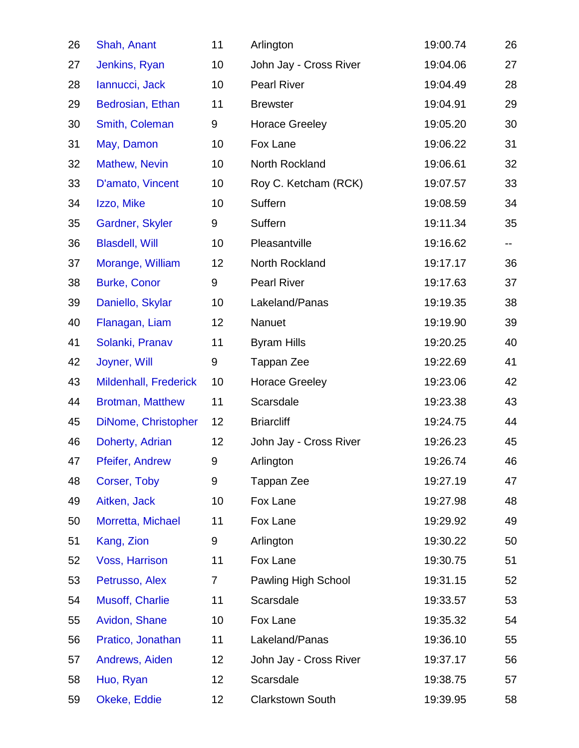| 26 | Shah, Anant             | 11             | Arlington               | 19:00.74 | 26 |
|----|-------------------------|----------------|-------------------------|----------|----|
| 27 | Jenkins, Ryan           | 10             | John Jay - Cross River  | 19:04.06 | 27 |
| 28 | lannucci, Jack          | 10             | <b>Pearl River</b>      | 19:04.49 | 28 |
| 29 | Bedrosian, Ethan        | 11             | <b>Brewster</b>         | 19:04.91 | 29 |
| 30 | Smith, Coleman          | 9              | <b>Horace Greeley</b>   | 19:05.20 | 30 |
| 31 | May, Damon              | 10             | Fox Lane                | 19:06.22 | 31 |
| 32 | Mathew, Nevin           | 10             | North Rockland          | 19:06.61 | 32 |
| 33 | D'amato, Vincent        | 10             | Roy C. Ketcham (RCK)    | 19:07.57 | 33 |
| 34 | Izzo, Mike              | 10             | Suffern                 | 19:08.59 | 34 |
| 35 | Gardner, Skyler         | 9              | Suffern                 | 19:11.34 | 35 |
| 36 | <b>Blasdell, Will</b>   | 10             | Pleasantville           | 19:16.62 | н. |
| 37 | Morange, William        | 12             | North Rockland          | 19:17.17 | 36 |
| 38 | <b>Burke, Conor</b>     | 9              | <b>Pearl River</b>      | 19:17.63 | 37 |
| 39 | Daniello, Skylar        | 10             | Lakeland/Panas          | 19:19.35 | 38 |
| 40 | Flanagan, Liam          | 12             | Nanuet                  | 19:19.90 | 39 |
| 41 | Solanki, Pranav         | 11             | <b>Byram Hills</b>      | 19:20.25 | 40 |
| 42 | Joyner, Will            | 9              | Tappan Zee              | 19:22.69 | 41 |
| 43 | Mildenhall, Frederick   | 10             | <b>Horace Greeley</b>   | 19:23.06 | 42 |
| 44 | <b>Brotman, Matthew</b> | 11             | Scarsdale               | 19:23.38 | 43 |
| 45 | DiNome, Christopher     | 12             | <b>Briarcliff</b>       | 19:24.75 | 44 |
| 46 | Doherty, Adrian         | 12             | John Jay - Cross River  | 19:26.23 | 45 |
| 47 | Pfeifer, Andrew         | 9              | Arlington               | 19:26.74 | 46 |
| 48 | Corser, Toby            | 9              | Tappan Zee              | 19:27.19 | 47 |
| 49 | Aitken, Jack            | 10             | Fox Lane                | 19:27.98 | 48 |
| 50 | Morretta, Michael       | 11             | Fox Lane                | 19:29.92 | 49 |
| 51 | Kang, Zion              | 9              | Arlington               | 19:30.22 | 50 |
| 52 | Voss, Harrison          | 11             | Fox Lane                | 19:30.75 | 51 |
| 53 | Petrusso, Alex          | $\overline{7}$ | Pawling High School     | 19:31.15 | 52 |
| 54 | Musoff, Charlie         | 11             | Scarsdale               | 19:33.57 | 53 |
| 55 | Avidon, Shane           | 10             | Fox Lane                | 19:35.32 | 54 |
| 56 | Pratico, Jonathan       | 11             | Lakeland/Panas          | 19:36.10 | 55 |
| 57 | Andrews, Aiden          | 12             | John Jay - Cross River  | 19:37.17 | 56 |
| 58 | Huo, Ryan               | 12             | Scarsdale               | 19:38.75 | 57 |
| 59 | Okeke, Eddie            | 12             | <b>Clarkstown South</b> | 19:39.95 | 58 |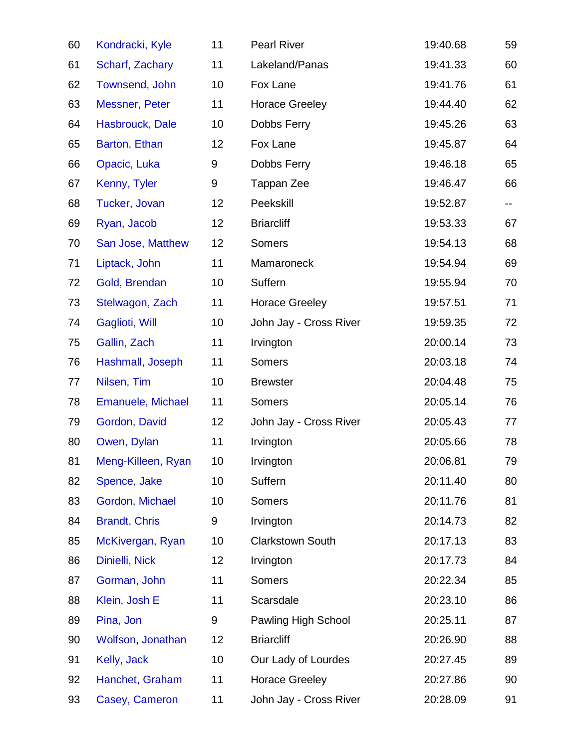| 60 | Kondracki, Kyle          | 11              | <b>Pearl River</b>      | 19:40.68 | 59 |
|----|--------------------------|-----------------|-------------------------|----------|----|
| 61 | Scharf, Zachary          | 11              | Lakeland/Panas          | 19:41.33 | 60 |
| 62 | Townsend, John           | 10              | Fox Lane                | 19:41.76 | 61 |
| 63 | Messner, Peter           | 11              | <b>Horace Greeley</b>   | 19:44.40 | 62 |
| 64 | Hasbrouck, Dale          | 10              | Dobbs Ferry             | 19:45.26 | 63 |
| 65 | Barton, Ethan            | 12              | Fox Lane                | 19:45.87 | 64 |
| 66 | Opacic, Luka             | 9               | Dobbs Ferry             | 19:46.18 | 65 |
| 67 | Kenny, Tyler             | 9               | Tappan Zee              | 19:46.47 | 66 |
| 68 | Tucker, Jovan            | 12              | Peekskill               | 19:52.87 |    |
| 69 | Ryan, Jacob              | 12              | <b>Briarcliff</b>       | 19:53.33 | 67 |
| 70 | San Jose, Matthew        | 12              | Somers                  | 19:54.13 | 68 |
| 71 | Liptack, John            | 11              | Mamaroneck              | 19:54.94 | 69 |
| 72 | Gold, Brendan            | 10              | Suffern                 | 19:55.94 | 70 |
| 73 | Stelwagon, Zach          | 11              | <b>Horace Greeley</b>   | 19:57.51 | 71 |
| 74 | Gaglioti, Will           | 10              | John Jay - Cross River  | 19:59.35 | 72 |
| 75 | Gallin, Zach             | 11              | Irvington               | 20:00.14 | 73 |
| 76 | Hashmall, Joseph         | 11              | <b>Somers</b>           | 20:03.18 | 74 |
| 77 | Nilsen, Tim              | 10              | <b>Brewster</b>         | 20:04.48 | 75 |
| 78 | <b>Emanuele, Michael</b> | 11              | Somers                  | 20:05.14 | 76 |
| 79 | Gordon, David            | 12              | John Jay - Cross River  | 20:05.43 | 77 |
| 80 | Owen, Dylan              | 11              | Irvington               | 20:05.66 | 78 |
| 81 | Meng-Killeen, Ryan       | 10 <sup>°</sup> | Irvington               | 20:06.81 | 79 |
| 82 | Spence, Jake             | 10              | Suffern                 | 20:11.40 | 80 |
| 83 | Gordon, Michael          | 10              | Somers                  | 20:11.76 | 81 |
| 84 | <b>Brandt, Chris</b>     | 9               | Irvington               | 20:14.73 | 82 |
| 85 | McKivergan, Ryan         | 10              | <b>Clarkstown South</b> | 20:17.13 | 83 |
| 86 | Dinielli, Nick           | 12              | Irvington               | 20:17.73 | 84 |
| 87 | Gorman, John             | 11              | <b>Somers</b>           | 20:22.34 | 85 |
| 88 | Klein, Josh E            | 11              | Scarsdale               | 20:23.10 | 86 |
| 89 | Pina, Jon                | 9               | Pawling High School     | 20:25.11 | 87 |
| 90 | Wolfson, Jonathan        | 12              | <b>Briarcliff</b>       | 20:26.90 | 88 |
| 91 | Kelly, Jack              | 10              | Our Lady of Lourdes     | 20:27.45 | 89 |
| 92 | Hanchet, Graham          | 11              | <b>Horace Greeley</b>   | 20:27.86 | 90 |
| 93 | Casey, Cameron           | 11              | John Jay - Cross River  | 20:28.09 | 91 |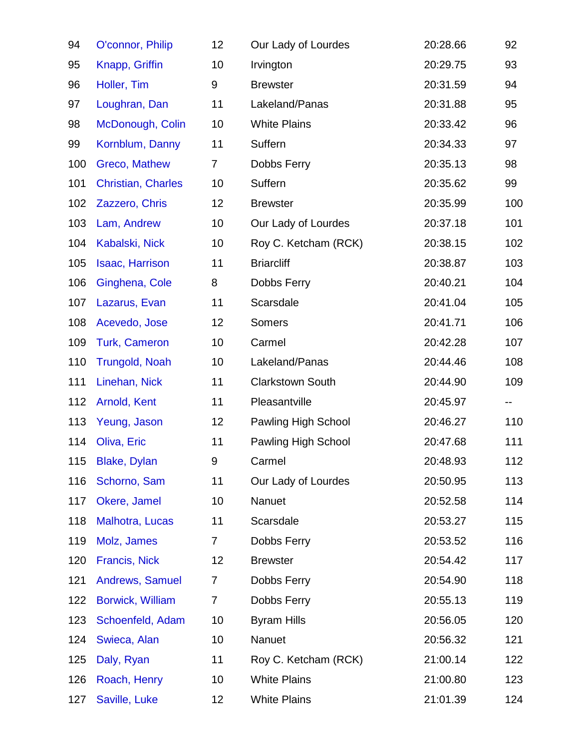| 94  | O'connor, Philip          | 12                | Our Lady of Lourdes     | 20:28.66 | 92  |
|-----|---------------------------|-------------------|-------------------------|----------|-----|
| 95  | Knapp, Griffin            | 10                | Irvington               | 20:29.75 | 93  |
| 96  | Holler, Tim               | 9                 | <b>Brewster</b>         | 20:31.59 | 94  |
| 97  | Loughran, Dan             | 11                | Lakeland/Panas          | 20:31.88 | 95  |
| 98  | McDonough, Colin          | 10                | <b>White Plains</b>     | 20:33.42 | 96  |
| 99  | Kornblum, Danny           | 11                | Suffern                 | 20:34.33 | 97  |
| 100 | Greco, Mathew             | $\overline{7}$    | Dobbs Ferry             | 20:35.13 | 98  |
| 101 | <b>Christian, Charles</b> | 10                | Suffern                 | 20:35.62 | 99  |
| 102 | Zazzero, Chris            | 12                | <b>Brewster</b>         | 20:35.99 | 100 |
| 103 | Lam, Andrew               | 10                | Our Lady of Lourdes     | 20:37.18 | 101 |
| 104 | Kabalski, Nick            | 10                | Roy C. Ketcham (RCK)    | 20:38.15 | 102 |
| 105 | Isaac, Harrison           | 11                | <b>Briarcliff</b>       | 20:38.87 | 103 |
| 106 | Ginghena, Cole            | 8                 | Dobbs Ferry             | 20:40.21 | 104 |
| 107 | Lazarus, Evan             | 11                | Scarsdale               | 20:41.04 | 105 |
| 108 | Acevedo, Jose             | 12                | <b>Somers</b>           | 20:41.71 | 106 |
| 109 | <b>Turk, Cameron</b>      | 10                | Carmel                  | 20:42.28 | 107 |
| 110 | <b>Trungold, Noah</b>     | 10                | Lakeland/Panas          | 20:44.46 | 108 |
| 111 | Linehan, Nick             | 11                | <b>Clarkstown South</b> | 20:44.90 | 109 |
| 112 | Arnold, Kent              | 11                | Pleasantville           | 20:45.97 | --  |
| 113 | Yeung, Jason              | 12                | Pawling High School     | 20:46.27 | 110 |
| 114 | Oliva, Eric               | 11                | Pawling High School     | 20:47.68 | 111 |
|     | 115 Blake, Dylan          | 9                 | Carmel                  | 20:48.93 | 112 |
| 116 | Schorno, Sam              | 11                | Our Lady of Lourdes     | 20:50.95 | 113 |
| 117 | Okere, Jamel              | 10                | Nanuet                  | 20:52.58 | 114 |
| 118 | Malhotra, Lucas           | 11                | Scarsdale               | 20:53.27 | 115 |
| 119 | Molz, James               | $\overline{7}$    | Dobbs Ferry             | 20:53.52 | 116 |
| 120 | <b>Francis, Nick</b>      | 12                | <b>Brewster</b>         | 20:54.42 | 117 |
| 121 | Andrews, Samuel           | $\overline{7}$    | Dobbs Ferry             | 20:54.90 | 118 |
| 122 | <b>Borwick, William</b>   | $\overline{7}$    | Dobbs Ferry             | 20:55.13 | 119 |
| 123 | Schoenfeld, Adam          | 10                | <b>Byram Hills</b>      | 20:56.05 | 120 |
| 124 | Swieca, Alan              | 10                | Nanuet                  | 20:56.32 | 121 |
| 125 | Daly, Ryan                | 11                | Roy C. Ketcham (RCK)    | 21:00.14 | 122 |
| 126 | Roach, Henry              | 10                | <b>White Plains</b>     | 21:00.80 | 123 |
| 127 | Saville, Luke             | $12 \overline{ }$ | <b>White Plains</b>     | 21:01.39 | 124 |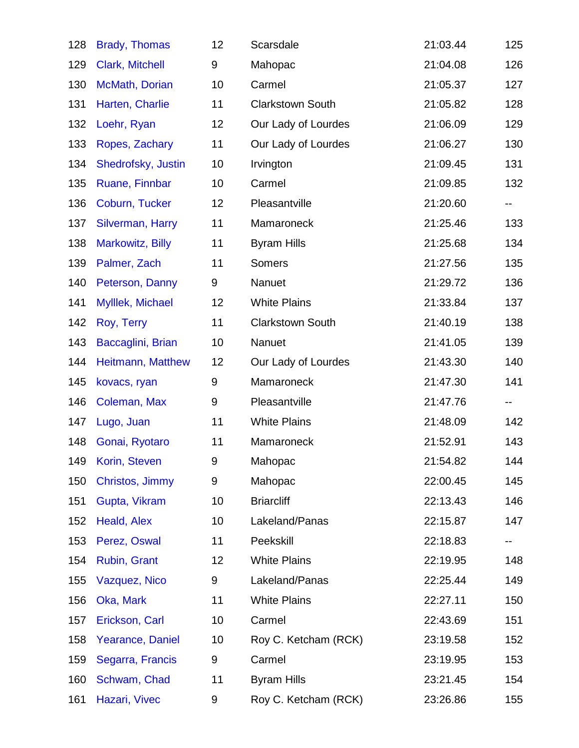| 128 | <b>Brady, Thomas</b> | 12 | Scarsdale               | 21:03.44 | 125 |
|-----|----------------------|----|-------------------------|----------|-----|
| 129 | Clark, Mitchell      | 9  | Mahopac                 | 21:04.08 | 126 |
| 130 | McMath, Dorian       | 10 | Carmel                  | 21:05.37 | 127 |
| 131 | Harten, Charlie      | 11 | <b>Clarkstown South</b> | 21:05.82 | 128 |
| 132 | Loehr, Ryan          | 12 | Our Lady of Lourdes     | 21:06.09 | 129 |
| 133 | Ropes, Zachary       | 11 | Our Lady of Lourdes     | 21:06.27 | 130 |
| 134 | Shedrofsky, Justin   | 10 | Irvington               | 21:09.45 | 131 |
| 135 | Ruane, Finnbar       | 10 | Carmel                  | 21:09.85 | 132 |
| 136 | Coburn, Tucker       | 12 | Pleasantville           | 21:20.60 | н.  |
| 137 | Silverman, Harry     | 11 | Mamaroneck              | 21:25.46 | 133 |
| 138 | Markowitz, Billy     | 11 | <b>Byram Hills</b>      | 21:25.68 | 134 |
| 139 | Palmer, Zach         | 11 | Somers                  | 21:27.56 | 135 |
| 140 | Peterson, Danny      | 9  | Nanuet                  | 21:29.72 | 136 |
| 141 | Mylllek, Michael     | 12 | <b>White Plains</b>     | 21:33.84 | 137 |
| 142 | Roy, Terry           | 11 | <b>Clarkstown South</b> | 21:40.19 | 138 |
| 143 | Baccaglini, Brian    | 10 | Nanuet                  | 21:41.05 | 139 |
| 144 | Heitmann, Matthew    | 12 | Our Lady of Lourdes     | 21:43.30 | 140 |
| 145 | kovacs, ryan         | 9  | Mamaroneck              | 21:47.30 | 141 |
| 146 | Coleman, Max         | 9  | Pleasantville           | 21:47.76 | --  |
| 147 | Lugo, Juan           | 11 | <b>White Plains</b>     | 21:48.09 | 142 |
| 148 | Gonai, Ryotaro       | 11 | Mamaroneck              | 21:52.91 | 143 |
|     | 149 Korin, Steven    | 9  | Mahopac                 | 21:54.82 | 144 |
| 150 | Christos, Jimmy      | 9  | Mahopac                 | 22:00.45 | 145 |
| 151 | Gupta, Vikram        | 10 | <b>Briarcliff</b>       | 22:13.43 | 146 |
| 152 | Heald, Alex          | 10 | Lakeland/Panas          | 22:15.87 | 147 |
| 153 | Perez, Oswal         | 11 | Peekskill               | 22:18.83 | --  |
| 154 | Rubin, Grant         | 12 | <b>White Plains</b>     | 22:19.95 | 148 |
| 155 | Vazquez, Nico        | 9  | Lakeland/Panas          | 22:25.44 | 149 |
| 156 | Oka, Mark            | 11 | <b>White Plains</b>     | 22:27.11 | 150 |
| 157 | Erickson, Carl       | 10 | Carmel                  | 22:43.69 | 151 |
| 158 | Yearance, Daniel     | 10 | Roy C. Ketcham (RCK)    | 23:19.58 | 152 |
| 159 | Segarra, Francis     | 9  | Carmel                  | 23:19.95 | 153 |
| 160 | Schwam, Chad         | 11 | <b>Byram Hills</b>      | 23:21.45 | 154 |
| 161 | Hazari, Vivec        | 9  | Roy C. Ketcham (RCK)    | 23:26.86 | 155 |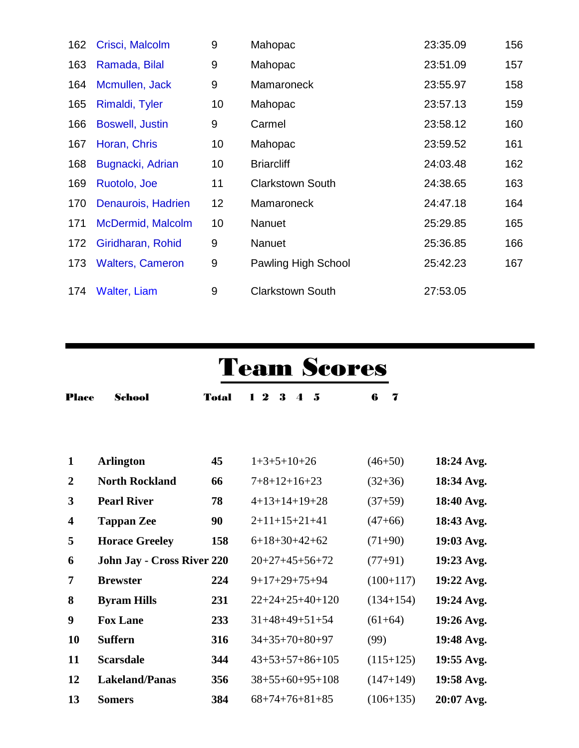| 162 | Crisci, Malcolm         | 9  | Mahopac                 | 23:35.09 | 156 |
|-----|-------------------------|----|-------------------------|----------|-----|
| 163 | Ramada, Bilal           | 9  | Mahopac                 | 23:51.09 | 157 |
| 164 | Mcmullen, Jack          | 9  | Mamaroneck              | 23:55.97 | 158 |
| 165 | Rimaldi, Tyler          | 10 | Mahopac                 | 23:57.13 | 159 |
| 166 | <b>Boswell, Justin</b>  | 9  | Carmel                  | 23:58.12 | 160 |
| 167 | Horan, Chris            | 10 | Mahopac                 | 23:59.52 | 161 |
| 168 | Bugnacki, Adrian        | 10 | <b>Briarcliff</b>       | 24:03.48 | 162 |
| 169 | Ruotolo, Joe            | 11 | <b>Clarkstown South</b> | 24:38.65 | 163 |
| 170 | Denaurois, Hadrien      | 12 | Mamaroneck              | 24:47.18 | 164 |
| 171 | McDermid, Malcolm       | 10 | Nanuet                  | 25:29.85 | 165 |
| 172 | Giridharan, Rohid       | 9  | Nanuet                  | 25:36.85 | 166 |
| 173 | <b>Walters, Cameron</b> | 9  | Pawling High School     | 25:42.23 | 167 |
|     | 174 Walter, Liam        | 9  | <b>Clarkstown South</b> | 27:53.05 |     |

## Team Scores

| <b>Place</b>            | <b>School</b>                     | <b>Total</b> | $\boldsymbol{2}$<br>3<br>-5<br>1.<br>$\blacktriangle$ | 6<br>7      |            |
|-------------------------|-----------------------------------|--------------|-------------------------------------------------------|-------------|------------|
|                         |                                   |              |                                                       |             |            |
| $\mathbf{1}$            | <b>Arlington</b>                  | 45           | $1+3+5+10+26$                                         | $(46+50)$   | 18:24 Avg. |
| $\overline{2}$          | <b>North Rockland</b>             | 66           | $7+8+12+16+23$                                        | $(32+36)$   | 18:34 Avg. |
| $\mathbf{3}$            | <b>Pearl River</b>                | 78           | $4+13+14+19+28$                                       | $(37+59)$   | 18:40 Avg. |
| $\overline{\mathbf{4}}$ | <b>Tappan Zee</b>                 | 90           | $2+11+15+21+41$                                       | $(47+66)$   | 18:43 Avg. |
| 5                       | <b>Horace Greeley</b>             | 158          | $6+18+30+42+62$                                       | $(71+90)$   | 19:03 Avg. |
| 6                       | <b>John Jay - Cross River 220</b> |              | $20+27+45+56+72$                                      | $(77+91)$   | 19:23 Avg. |
| $\overline{7}$          | <b>Brewster</b>                   | 224          | $9+17+29+75+94$                                       | $(100+117)$ | 19:22 Avg. |
| 8                       | <b>Byram Hills</b>                | 231          | $22+24+25+40+120$                                     | $(134+154)$ | 19:24 Avg. |
| 9                       | <b>Fox Lane</b>                   | 233          | $31+48+49+51+54$                                      | $(61+64)$   | 19:26 Avg. |
| 10                      | <b>Suffern</b>                    | 316          | $34+35+70+80+97$                                      | (99)        | 19:48 Avg. |
| 11                      | <b>Scarsdale</b>                  | 344          | $43+53+57+86+105$                                     | $(115+125)$ | 19:55 Avg. |
| 12                      | <b>Lakeland/Panas</b>             | 356          | $38+55+60+95+108$                                     | $(147+149)$ | 19:58 Avg. |
| 13                      | <b>Somers</b>                     | 384          | $68+74+76+81+85$                                      | $(106+135)$ | 20:07 Avg. |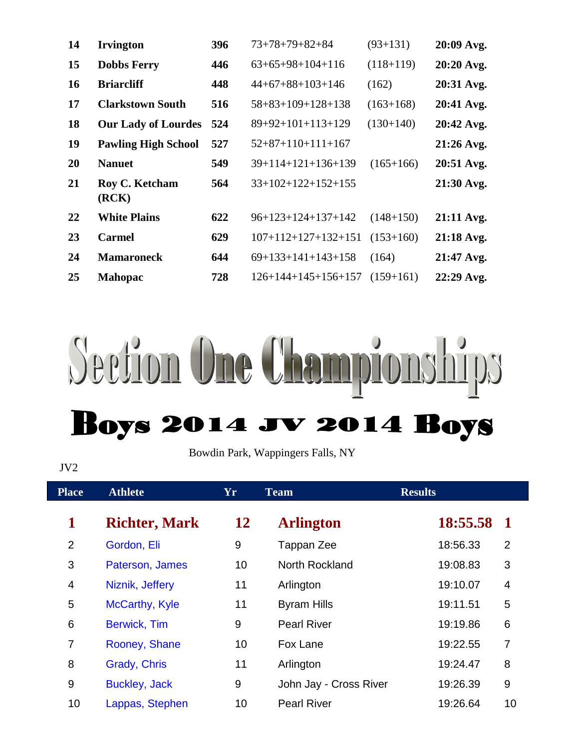| 14        | <b>Irvington</b>           | 396 | $73+78+79+82+84$      | $(93+131)$  | 20:09 Avg.   |
|-----------|----------------------------|-----|-----------------------|-------------|--------------|
| 15        | <b>Dobbs Ferry</b>         | 446 | $63+65+98+104+116$    | $(118+119)$ | 20:20 Avg.   |
| <b>16</b> | <b>Briarcliff</b>          | 448 | $44+67+88+103+146$    | (162)       | 20:31 Avg.   |
| 17        | <b>Clarkstown South</b>    | 516 | $58+83+109+128+138$   | $(163+168)$ | 20:41 Avg.   |
| <b>18</b> | <b>Our Lady of Lourdes</b> | 524 | $89+92+101+113+129$   | $(130+140)$ | 20:42 Avg.   |
| 19        | <b>Pawling High School</b> | 527 | $52+87+110+111+167$   |             | $21:26$ Avg. |
| <b>20</b> | <b>Nanuet</b>              | 549 | $39+114+121+136+139$  | $(165+166)$ | 20:51 Avg.   |
| <b>21</b> | Roy C. Ketcham<br>(RCK)    | 564 | $33+102+122+152+155$  |             | 21:30 Avg.   |
| 22        | <b>White Plains</b>        | 622 | $96+123+124+137+142$  | $(148+150)$ | 21:11 Avg.   |
| 23        | <b>Carmel</b>              | 629 | $107+112+127+132+151$ | $(153+160)$ | $21:18$ Avg. |
| 24        | <b>Mamaroneck</b>          | 644 | $69+133+141+143+158$  | (164)       | 21:47 Avg.   |
| 25        | <b>Mahopac</b>             | 728 | $126+144+145+156+157$ | $(159+161)$ | 22:29 Avg.   |



Bowdin Park, Wappingers Falls, NY

## JV2

| <b>Place</b>   | <b>Athlete</b>       | Yr        | <b>Team</b>            | <b>Results</b> |                |
|----------------|----------------------|-----------|------------------------|----------------|----------------|
| 1              | <b>Richter, Mark</b> | <b>12</b> | <b>Arlington</b>       | 18:55.58       | $\mathbf 1$    |
| $\overline{2}$ | Gordon, Eli          | 9         | Tappan Zee             | 18:56.33       | $\overline{2}$ |
| 3              | Paterson, James      | 10        | North Rockland         | 19:08.83       | 3              |
| 4              | Niznik, Jeffery      | 11        | Arlington              | 19:10.07       | $\overline{4}$ |
| 5              | McCarthy, Kyle       | 11        | <b>Byram Hills</b>     | 19:11.51       | 5              |
| 6              | Berwick, Tim         | 9         | <b>Pearl River</b>     | 19:19.86       | 6              |
| $\overline{7}$ | Rooney, Shane        | 10        | Fox Lane               | 19:22.55       | $\overline{7}$ |
| 8              | Grady, Chris         | 11        | Arlington              | 19:24.47       | 8              |
| 9              | <b>Buckley, Jack</b> | 9         | John Jay - Cross River | 19:26.39       | 9              |
| 10             | Lappas, Stephen      | 10        | <b>Pearl River</b>     | 19:26.64       | 10             |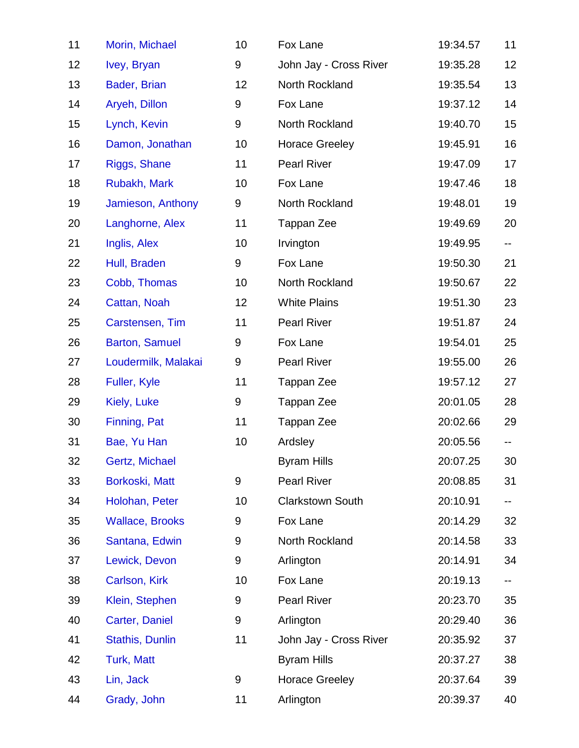| 11 | Morin, Michael         | 10 | Fox Lane                | 19:34.57 | 11  |
|----|------------------------|----|-------------------------|----------|-----|
| 12 | Ivey, Bryan            | 9  | John Jay - Cross River  | 19:35.28 | 12  |
| 13 | Bader, Brian           | 12 | North Rockland          | 19:35.54 | 13  |
| 14 | Aryeh, Dillon          | 9  | Fox Lane                | 19:37.12 | 14  |
| 15 | Lynch, Kevin           | 9  | North Rockland          | 19:40.70 | 15  |
| 16 | Damon, Jonathan        | 10 | <b>Horace Greeley</b>   | 19:45.91 | 16  |
| 17 | Riggs, Shane           | 11 | <b>Pearl River</b>      | 19:47.09 | 17  |
| 18 | Rubakh, Mark           | 10 | Fox Lane                | 19:47.46 | 18  |
| 19 | Jamieson, Anthony      | 9  | North Rockland          | 19:48.01 | 19  |
| 20 | Langhorne, Alex        | 11 | Tappan Zee              | 19:49.69 | 20  |
| 21 | Inglis, Alex           | 10 | Irvington               | 19:49.95 | -−  |
| 22 | Hull, Braden           | 9  | Fox Lane                | 19:50.30 | 21  |
| 23 | Cobb, Thomas           | 10 | North Rockland          | 19:50.67 | 22  |
| 24 | Cattan, Noah           | 12 | <b>White Plains</b>     | 19:51.30 | 23  |
| 25 | Carstensen, Tim        | 11 | <b>Pearl River</b>      | 19:51.87 | 24  |
| 26 | <b>Barton, Samuel</b>  | 9  | Fox Lane                | 19:54.01 | 25  |
| 27 | Loudermilk, Malakai    | 9  | <b>Pearl River</b>      | 19:55.00 | 26  |
| 28 | Fuller, Kyle           | 11 | Tappan Zee              | 19:57.12 | 27  |
| 29 | Kiely, Luke            | 9  | Tappan Zee              | 20:01.05 | 28  |
| 30 | Finning, Pat           | 11 | Tappan Zee              | 20:02.66 | 29  |
| 31 | Bae, Yu Han            | 10 | Ardsley                 | 20:05.56 | --  |
| 32 | Gertz, Michael         |    | <b>Byram Hills</b>      | 20:07.25 | 30  |
| 33 | Borkoski, Matt         | 9  | <b>Pearl River</b>      | 20:08.85 | 31  |
| 34 | Holohan, Peter         | 10 | <b>Clarkstown South</b> | 20:10.91 | ∽−. |
| 35 | <b>Wallace, Brooks</b> | 9  | Fox Lane                | 20:14.29 | 32  |
| 36 | Santana, Edwin         | 9  | North Rockland          | 20:14.58 | 33  |
| 37 | Lewick, Devon          | 9  | Arlington               | 20:14.91 | 34  |
| 38 | Carlson, Kirk          | 10 | Fox Lane                | 20:19.13 | ∽−. |
| 39 | Klein, Stephen         | 9  | <b>Pearl River</b>      | 20:23.70 | 35  |
| 40 | Carter, Daniel         | 9  | Arlington               | 20:29.40 | 36  |
| 41 | <b>Stathis, Dunlin</b> | 11 | John Jay - Cross River  | 20:35.92 | 37  |
| 42 | <b>Turk, Matt</b>      |    | <b>Byram Hills</b>      | 20:37.27 | 38  |
| 43 | Lin, Jack              | 9  | <b>Horace Greeley</b>   | 20:37.64 | 39  |
| 44 | Grady, John            | 11 | Arlington               | 20:39.37 | 40  |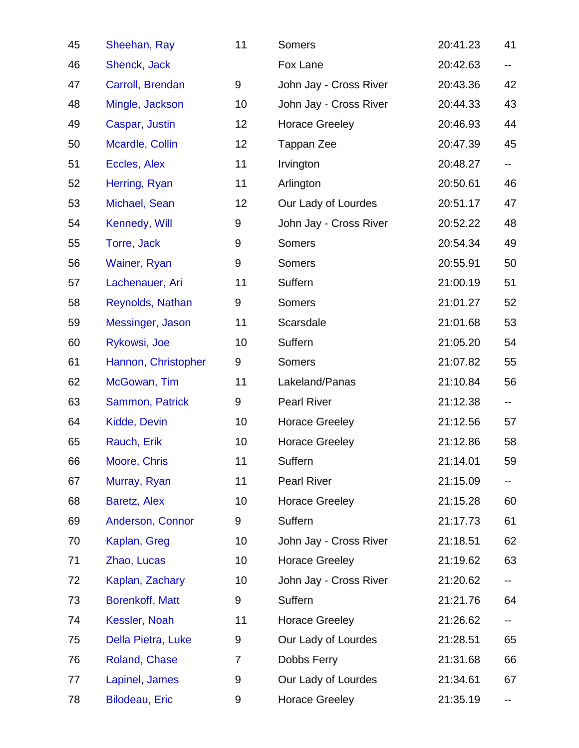| 45 | Sheehan, Ray           | 11             | Somers                 | 20:41.23 | 41  |
|----|------------------------|----------------|------------------------|----------|-----|
| 46 | Shenck, Jack           |                | Fox Lane               | 20:42.63 | н.  |
| 47 | Carroll, Brendan       | 9              | John Jay - Cross River | 20:43.36 | 42  |
| 48 | Mingle, Jackson        | 10             | John Jay - Cross River | 20:44.33 | 43  |
| 49 | Caspar, Justin         | 12             | <b>Horace Greeley</b>  | 20:46.93 | 44  |
| 50 | Mcardle, Collin        | 12             | Tappan Zee             | 20:47.39 | 45  |
| 51 | Eccles, Alex           | 11             | Irvington              | 20:48.27 | н.  |
| 52 | Herring, Ryan          | 11             | Arlington              | 20:50.61 | 46  |
| 53 | Michael, Sean          | 12             | Our Lady of Lourdes    | 20:51.17 | 47  |
| 54 | Kennedy, Will          | 9              | John Jay - Cross River | 20:52.22 | 48  |
| 55 | Torre, Jack            | 9              | Somers                 | 20:54.34 | 49  |
| 56 | Wainer, Ryan           | 9              | Somers                 | 20:55.91 | 50  |
| 57 | Lachenauer, Ari        | 11             | Suffern                | 21:00.19 | 51  |
| 58 | Reynolds, Nathan       | 9              | <b>Somers</b>          | 21:01.27 | 52  |
| 59 | Messinger, Jason       | 11             | Scarsdale              | 21:01.68 | 53  |
| 60 | Rykowsi, Joe           | 10             | Suffern                | 21:05.20 | 54  |
| 61 | Hannon, Christopher    | 9              | Somers                 | 21:07.82 | 55  |
| 62 | McGowan, Tim           | 11             | Lakeland/Panas         | 21:10.84 | 56  |
| 63 | Sammon, Patrick        | 9              | <b>Pearl River</b>     | 21:12.38 | ∽−  |
| 64 | Kidde, Devin           | 10             | <b>Horace Greeley</b>  | 21:12.56 | 57  |
| 65 | Rauch, Erik            | 10             | <b>Horace Greeley</b>  | 21:12.86 | 58  |
| 66 | Moore, Chris           | 11             | Suffern                | 21:14.01 | 59  |
| 67 | Murray, Ryan           | 11             | <b>Pearl River</b>     | 21:15.09 | н.  |
| 68 | Baretz, Alex           | 10             | <b>Horace Greeley</b>  | 21:15.28 | 60  |
| 69 | Anderson, Connor       | 9              | Suffern                | 21:17.73 | 61  |
| 70 | Kaplan, Greg           | 10             | John Jay - Cross River | 21:18.51 | 62  |
| 71 | Zhao, Lucas            | 10             | <b>Horace Greeley</b>  | 21:19.62 | 63  |
| 72 | Kaplan, Zachary        | 10             | John Jay - Cross River | 21:20.62 | ∽−. |
| 73 | <b>Borenkoff, Matt</b> | 9              | Suffern                | 21:21.76 | 64  |
| 74 | Kessler, Noah          | 11             | <b>Horace Greeley</b>  | 21:26.62 | ∽−. |
| 75 | Della Pietra, Luke     | 9              | Our Lady of Lourdes    | 21:28.51 | 65  |
| 76 | Roland, Chase          | $\overline{7}$ | Dobbs Ferry            | 21:31.68 | 66  |
| 77 | Lapinel, James         | 9              | Our Lady of Lourdes    | 21:34.61 | 67  |
| 78 | <b>Bilodeau, Eric</b>  | 9              | <b>Horace Greeley</b>  | 21:35.19 |     |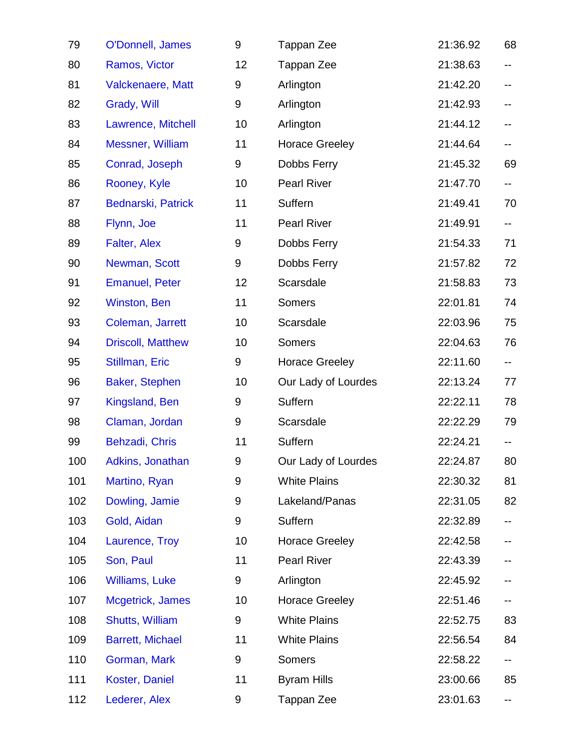| 79  | O'Donnell, James         | 9     | Tappan Zee            | 21:36.92 | 68                        |
|-----|--------------------------|-------|-----------------------|----------|---------------------------|
| 80  | Ramos, Victor            | 12    | Tappan Zee            | 21:38.63 | --                        |
| 81  | <b>Valckenaere, Matt</b> | $9\,$ | Arlington             | 21:42.20 |                           |
| 82  | Grady, Will              | 9     | Arlington             | 21:42.93 |                           |
| 83  | Lawrence, Mitchell       | 10    | Arlington             | 21:44.12 |                           |
| 84  | Messner, William         | 11    | <b>Horace Greeley</b> | 21:44.64 | н.                        |
| 85  | Conrad, Joseph           | 9     | Dobbs Ferry           | 21:45.32 | 69                        |
| 86  | Rooney, Kyle             | 10    | <b>Pearl River</b>    | 21:47.70 | $\overline{\phantom{a}}$  |
| 87  | Bednarski, Patrick       | 11    | Suffern               | 21:49.41 | 70                        |
| 88  | Flynn, Joe               | 11    | <b>Pearl River</b>    | 21:49.91 | $\mathbb{H}^{\mathbb{H}}$ |
| 89  | Falter, Alex             | $9\,$ | Dobbs Ferry           | 21:54.33 | 71                        |
| 90  | Newman, Scott            | 9     | Dobbs Ferry           | 21:57.82 | 72                        |
| 91  | <b>Emanuel, Peter</b>    | 12    | Scarsdale             | 21:58.83 | 73                        |
| 92  | Winston, Ben             | 11    | <b>Somers</b>         | 22:01.81 | 74                        |
| 93  | Coleman, Jarrett         | 10    | Scarsdale             | 22:03.96 | 75                        |
| 94  | <b>Driscoll, Matthew</b> | 10    | <b>Somers</b>         | 22:04.63 | 76                        |
| 95  | Stillman, Eric           | 9     | <b>Horace Greeley</b> | 22:11.60 | н.                        |
| 96  | Baker, Stephen           | 10    | Our Lady of Lourdes   | 22:13.24 | 77                        |
| 97  | Kingsland, Ben           | $9\,$ | Suffern               | 22:22.11 | 78                        |
| 98  | Claman, Jordan           | 9     | Scarsdale             | 22:22.29 | 79                        |
| 99  | Behzadi, Chris           | 11    | Suffern               | 22:24.21 | н.                        |
| 100 | Adkins, Jonathan         | 9     | Our Lady of Lourdes   | 22:24.87 | 80                        |
| 101 | Martino, Ryan            | 9     | <b>White Plains</b>   | 22:30.32 | 81                        |
| 102 | Dowling, Jamie           | 9     | Lakeland/Panas        | 22:31.05 | 82                        |
| 103 | Gold, Aidan              | 9     | Suffern               | 22:32.89 | ۰.                        |
| 104 | Laurence, Troy           | 10    | <b>Horace Greeley</b> | 22:42.58 |                           |
| 105 | Son, Paul                | 11    | <b>Pearl River</b>    | 22:43.39 |                           |
| 106 | <b>Williams, Luke</b>    | 9     | Arlington             | 22:45.92 |                           |
| 107 | Mcgetrick, James         | 10    | <b>Horace Greeley</b> | 22:51.46 | ۰.                        |
| 108 | Shutts, William          | 9     | <b>White Plains</b>   | 22:52.75 | 83                        |
| 109 | <b>Barrett, Michael</b>  | 11    | <b>White Plains</b>   | 22:56.54 | 84                        |
| 110 | Gorman, Mark             | 9     | <b>Somers</b>         | 22:58.22 |                           |
| 111 | Koster, Daniel           | 11    | <b>Byram Hills</b>    | 23:00.66 | 85                        |
| 112 | Lederer, Alex            | 9     | Tappan Zee            | 23:01.63 |                           |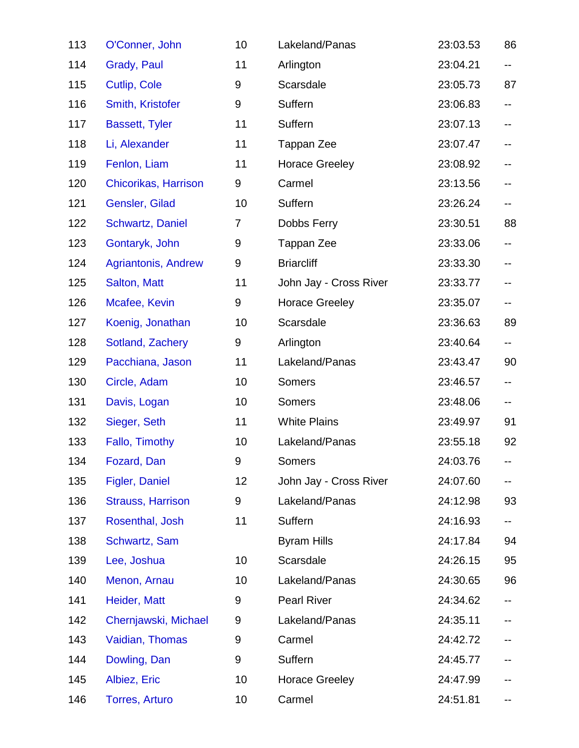| 113 | O'Conner, John           | 10             | Lakeland/Panas         | 23:03.53 | 86  |
|-----|--------------------------|----------------|------------------------|----------|-----|
| 114 | Grady, Paul              | 11             | Arlington              | 23:04.21 | н.  |
| 115 | Cutlip, Cole             | 9              | Scarsdale              | 23:05.73 | 87  |
| 116 | Smith, Kristofer         | $9\,$          | Suffern                | 23:06.83 | н.  |
| 117 | <b>Bassett, Tyler</b>    | 11             | Suffern                | 23:07.13 | --  |
| 118 | Li, Alexander            | 11             | Tappan Zee             | 23:07.47 | --  |
| 119 | Fenlon, Liam             | 11             | <b>Horace Greeley</b>  | 23:08.92 | н.  |
| 120 | Chicorikas, Harrison     | 9              | Carmel                 | 23:13.56 | --  |
| 121 | Gensler, Gilad           | 10             | Suffern                | 23:26.24 | ∽−. |
| 122 | <b>Schwartz, Daniel</b>  | $\overline{7}$ | Dobbs Ferry            | 23:30.51 | 88  |
| 123 | Gontaryk, John           | 9              | Tappan Zee             | 23:33.06 | н.  |
| 124 | Agriantonis, Andrew      | $9\,$          | <b>Briarcliff</b>      | 23:33.30 | н.  |
| 125 | Salton, Matt             | 11             | John Jay - Cross River | 23:33.77 | н.  |
| 126 | Mcafee, Kevin            | 9              | <b>Horace Greeley</b>  | 23:35.07 | --  |
| 127 | Koenig, Jonathan         | 10             | Scarsdale              | 23:36.63 | 89  |
| 128 | Sotland, Zachery         | 9              | Arlington              | 23:40.64 | н.  |
| 129 | Pacchiana, Jason         | 11             | Lakeland/Panas         | 23:43.47 | 90  |
| 130 | Circle, Adam             | 10             | <b>Somers</b>          | 23:46.57 | н.  |
| 131 | Davis, Logan             | 10             | <b>Somers</b>          | 23:48.06 | н.  |
| 132 | Sieger, Seth             | 11             | <b>White Plains</b>    | 23:49.97 | 91  |
| 133 | Fallo, Timothy           | 10             | Lakeland/Panas         | 23:55.18 | 92  |
| 134 | Fozard, Dan              | 9              | <b>Somers</b>          | 24:03.76 |     |
| 135 | Figler, Daniel           | 12             | John Jay - Cross River | 24:07.60 | --  |
| 136 | <b>Strauss, Harrison</b> | 9              | Lakeland/Panas         | 24:12.98 | 93  |
| 137 | Rosenthal, Josh          | 11             | Suffern                | 24:16.93 | н.  |
| 138 | Schwartz, Sam            |                | <b>Byram Hills</b>     | 24:17.84 | 94  |
| 139 | Lee, Joshua              | 10             | Scarsdale              | 24:26.15 | 95  |
| 140 | Menon, Arnau             | 10             | Lakeland/Panas         | 24:30.65 | 96  |
| 141 | Heider, Matt             | 9              | <b>Pearl River</b>     | 24:34.62 | ⊷   |
| 142 | Chernjawski, Michael     | 9              | Lakeland/Panas         | 24:35.11 |     |
| 143 | Vaidian, Thomas          | 9              | Carmel                 | 24:42.72 |     |
| 144 | Dowling, Dan             | 9              | Suffern                | 24:45.77 |     |
| 145 | Albiez, Eric             | 10             | <b>Horace Greeley</b>  | 24:47.99 |     |
| 146 | <b>Torres, Arturo</b>    | 10             | Carmel                 | 24:51.81 |     |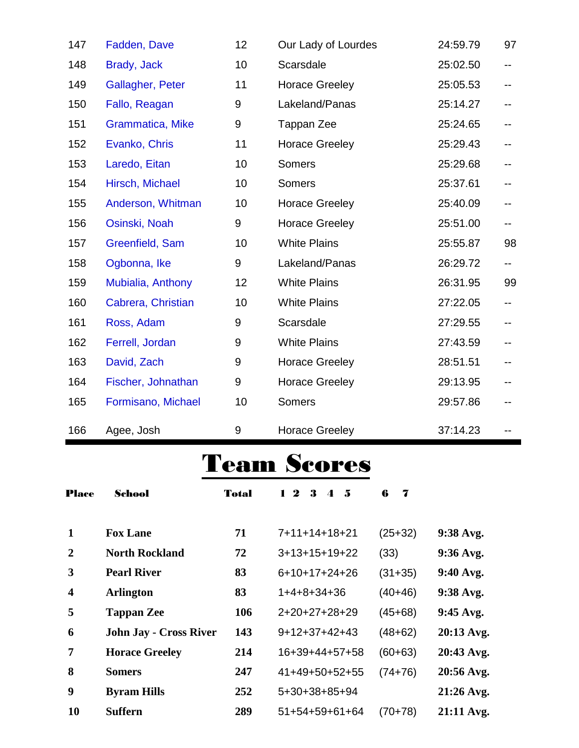| 147 | Fadden, Dave            | 12               | Our Lady of Lourdes   | 24:59.79 | 97  |
|-----|-------------------------|------------------|-----------------------|----------|-----|
| 148 | Brady, Jack             | 10               | Scarsdale             | 25:02.50 | --  |
| 149 | Gallagher, Peter        | 11               | <b>Horace Greeley</b> | 25:05.53 | --  |
| 150 | Fallo, Reagan           | 9                | Lakeland/Panas        | 25:14.27 | --  |
| 151 | <b>Grammatica, Mike</b> | $\boldsymbol{9}$ | Tappan Zee            | 25:24.65 | --  |
| 152 | Evanko, Chris           | 11               | <b>Horace Greeley</b> | 25:29.43 | ۰.  |
| 153 | Laredo, Eitan           | 10               | <b>Somers</b>         | 25:29.68 |     |
| 154 | Hirsch, Michael         | 10               | <b>Somers</b>         | 25:37.61 | ۰.  |
| 155 | Anderson, Whitman       | 10               | <b>Horace Greeley</b> | 25:40.09 | --  |
| 156 | Osinski, Noah           | 9                | <b>Horace Greeley</b> | 25:51.00 | ⊷.  |
| 157 | Greenfield, Sam         | 10               | <b>White Plains</b>   | 25:55.87 | 98  |
| 158 | Ogbonna, Ike            | $\boldsymbol{9}$ | Lakeland/Panas        | 26:29.72 | $-$ |
| 159 | Mubialia, Anthony       | 12               | <b>White Plains</b>   | 26:31.95 | 99  |
| 160 | Cabrera, Christian      | 10               | <b>White Plains</b>   | 27:22.05 | н.  |
| 161 | Ross, Adam              | 9                | Scarsdale             | 27:29.55 | н.  |
| 162 | Ferrell, Jordan         | 9                | <b>White Plains</b>   | 27:43.59 | ۰.  |
| 163 | David, Zach             | 9                | <b>Horace Greeley</b> | 28:51.51 | --  |
| 164 | Fischer, Johnathan      | 9                | <b>Horace Greeley</b> | 29:13.95 |     |
| 165 | Formisano, Michael      | 10               | <b>Somers</b>         | 29:57.86 |     |
| 166 | Agee, Josh              | 9                | <b>Horace Greeley</b> | 37:14.23 |     |

## Team Scores

| <b>Place</b>            | School                        | <b>Total</b> | $1\,2$<br>3<br>- 5<br>$\boldsymbol{\Lambda}$ | 6<br>7    |             |
|-------------------------|-------------------------------|--------------|----------------------------------------------|-----------|-------------|
| $\mathbf 1$             | <b>Fox Lane</b>               | 71           | 7+11+14+18+21                                | $(25+32)$ | $9:38$ Avg. |
| $\boldsymbol{2}$        | <b>North Rockland</b>         | 72           | $3+13+15+19+22$                              | (33)      | $9:36$ Avg. |
| 3                       | <b>Pearl River</b>            | 83           | $6+10+17+24+26$                              | $(31+35)$ | 9:40 Avg.   |
| $\overline{\mathbf{4}}$ | <b>Arlington</b>              | 83           | 1+4+8+34+36                                  | $(40+46)$ | 9:38 Avg.   |
| 5                       | <b>Tappan Zee</b>             | 106          | 2+20+27+28+29                                | $(45+68)$ | $9:45$ Avg. |
| 6                       | <b>John Jay - Cross River</b> | 143          | $9+12+37+42+43$                              | $(48+62)$ | 20:13 Avg.  |
| $\overline{7}$          | <b>Horace Greeley</b>         | 214          | 16+39+44+57+58                               | $(60+63)$ | 20:43 Avg.  |
| 8                       | <b>Somers</b>                 | 247          | 41+49+50+52+55                               | $(74+76)$ | 20:56 Avg.  |
| 9                       | <b>Byram Hills</b>            | 252          | 5+30+38+85+94                                |           | 21:26 Avg.  |
| 10                      | <b>Suffern</b>                | 289          | $51+54+59+61+64$                             | (70+78)   | 21:11 Avg.  |